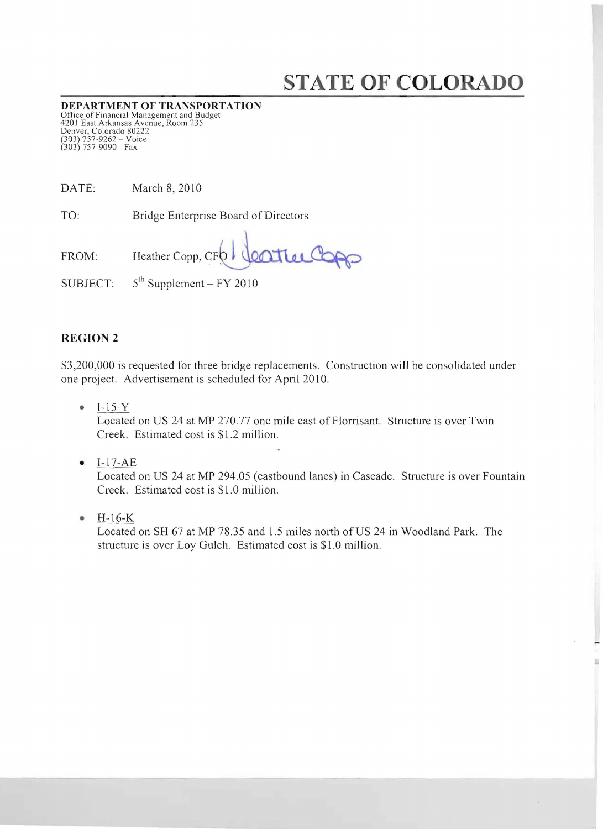## **STATE OF COLORADO**

**DEPARTMENT OF TRANSPORTATION**<br>Office of Financial Management and Budget<br>4201 East Arkansas Avenue, Room 235 Denver, Colorado 80222 (303) 757-9262 - Voice (303) 757-9090 - Fax

| DATE: | March 8, 2010 |  |  |
|-------|---------------|--|--|
|       |               |  |  |

TO: Bridge Enterprise Board of Directors

Heather Copp, CFO CONTLee Copp FROM: SUBJECT:  $5^{th}$  Supplement - FY 2010

## **REGION 2**

\$3,200,000 is requested for three bridge replacements. Construction will be consolidated under one project. Advertisement is scheduled for April 20 IO.

• I-1S-Y

Located on US 24 at MP 270.77 one mile east of Florrisant. Structure is over Twin Creek. Estimated cost is \$1.2 million.

 $\bullet$  I-17-AE

Located on US 24 at MP *294.0S* (eastbound lanes) in Cascade. Structure is over Fountain Creek. Estimated cost is \$1.0 million.

• H-16-K

Located on SH 67 at MP 78.3S and 1.S miles north of US 24 in Woodland Park. The structure is over Loy Gulch. Estimated cost is \$1.0 million.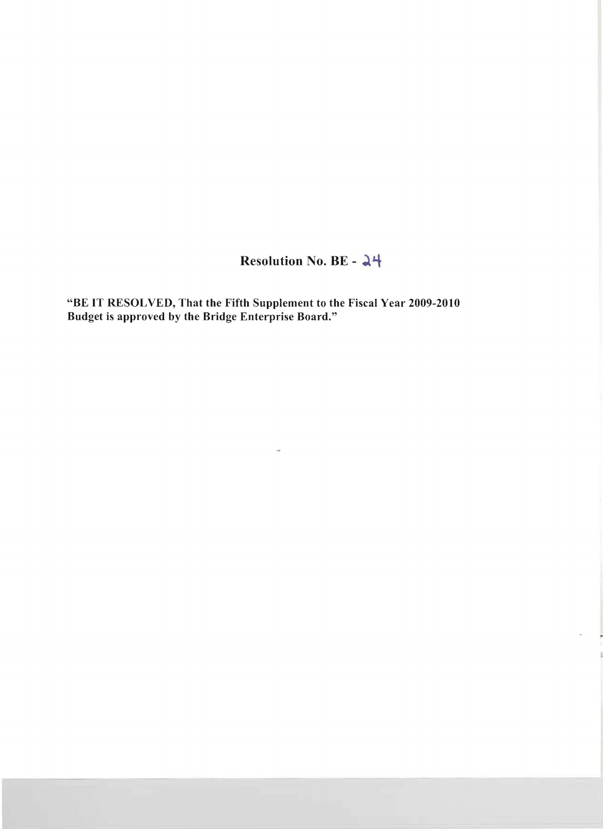Resolution No. BE - 24

"BE IT RESOLVED, That the Fifth Supplement to the Fiscal Year 2009-2010 Budget is approved by the Bridge Enterprise Board."